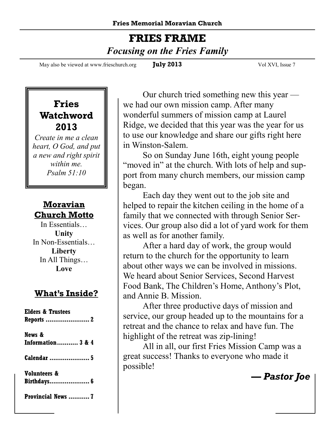#### **FRIES FRAME**   *Focusing on the Fries Family*

May also be viewed at www.frieschurch.org **July 2013** Vol XVI, Issue 7

#### **Fries Watchword 2013**

*Create in me a clean heart, O God, and put a new and right spirit within me. Psalm 51:10* 

#### **Moravian Church Motto**

In Essentials… **Unity** In Non-Essentials… **Liberty** In All Things… **Love**

#### **What's Inside?**

| <b>Elders &amp; Trustees</b>           |
|----------------------------------------|
| News &<br><b>Information 3 &amp; 4</b> |
| <b>Calendar</b> 5                      |
| Volunteers &<br>Birthdays 6            |
| Provincial News  7                     |

Our church tried something new this year we had our own mission camp. After many wonderful summers of mission camp at Laurel Ridge, we decided that this year was the year for us to use our knowledge and share our gifts right here in Winston-Salem.

 So on Sunday June 16th, eight young people "moved in" at the church. With lots of help and support from many church members, our mission camp began.

 Each day they went out to the job site and helped to repair the kitchen ceiling in the home of a family that we connected with through Senior Services. Our group also did a lot of yard work for them as well as for another family.

 After a hard day of work, the group would return to the church for the opportunity to learn about other ways we can be involved in missions. We heard about Senior Services, Second Harvest Food Bank, The Children's Home, Anthony's Plot, and Annie B. Mission.

 After three productive days of mission and service, our group headed up to the mountains for a retreat and the chance to relax and have fun. The highlight of the retreat was zip-lining!

 All in all, our first Fries Mission Camp was a great success! Thanks to everyone who made it possible!

*— Pastor Joe*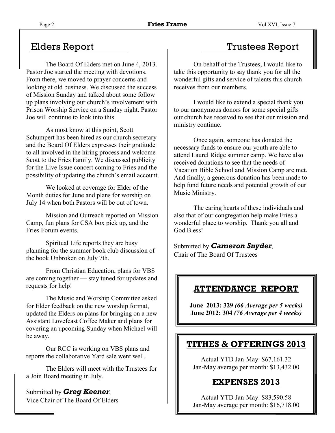The Board Of Elders met on June 4, 2013. Pastor Joe started the meeting with devotions. From there, we moved to prayer concerns and looking at old business. We discussed the success of Mission Sunday and talked about some follow up plans involving our church's involvement with Prison Worship Service on a Sunday night. Pastor Joe will continue to look into this.

 As most know at this point, Scott Schumpert has been hired as our church secretary and the Board Of Elders expresses their gratitude to all involved in the hiring process and welcome Scott to the Fries Family. We discussed publicity for the Live Issue concert coming to Fries and the possibility of updating the church's email account.

 We looked at coverage for Elder of the Month duties for June and plans for worship on July 14 when both Pastors will be out of town.

 Mission and Outreach reported on Mission Camp, fun plans for CSA box pick up, and the Fries Forum events.

 Spiritual Life reports they are busy planning for the summer book club discussion of the book Unbroken on July 7th.

 From Christian Education, plans for VBS are coming together — stay tuned for updates and requests for help!

 The Music and Worship Committee asked for Elder feedback on the new worship format, updated the Elders on plans for bringing on a new Assistant Lovefeast Coffee Maker and plans for covering an upcoming Sunday when Michael will be away.

 Our RCC is working on VBS plans and reports the collaborative Yard sale went well.

 The Elders will meet with the Trustees for a Join Board meeting in July.

Submitted by *Greg Keener*, Vice Chair of The Board Of Elders

#### Elders Report Trustees Report

 On behalf of the Trustees, I would like to take this opportunity to say thank you for all the wonderful gifts and service of talents this church receives from our members.

 I would like to extend a special thank you to our anonymous donors for some special gifts our church has received to see that our mission and ministry continue.

 Once again, someone has donated the necessary funds to ensure our youth are able to attend Laurel Ridge summer camp. We have also received donations to see that the needs of Vacation Bible School and Mission Camp are met. And finally, a generous donation has been made to help fund future needs and potential growth of our Music Ministry.

 The caring hearts of these individuals and also that of our congregation help make Fries a wonderful place to worship. Thank you all and God Bless!

Submitted by *Cameron Snyder*, Chair of The Board Of Trustees

#### **ATTENDANCE REPORT**

**June 2013: 329** *(66 Average per 5 weeks)*  **June 2012: 304** *(76 Average per 4 weeks)* 

#### **TITHES & OFFERINGS 2013**

Actual YTD Jan-May: \$67,161.32 Jan-May average per month: \$13,432.00

#### **EXPENSES 2013**

Actual YTD Jan-May: \$83,590.58 Jan-May average per month: \$16,718.00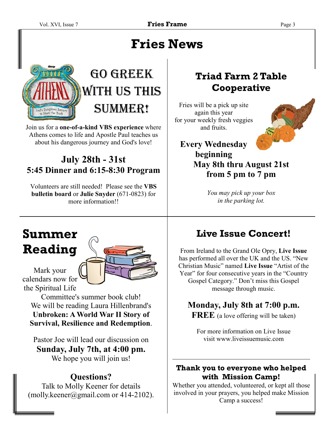### **Fries News**



## GO GREEK WITH US THIS SUMMER!

Join us for a **one-of-a-kind VBS experience** where Athens comes to life and Apostle Paul teaches us about his dangerous journey and God's love!

#### **July 28th - 31st 5:45 Dinner and 6:15-8:30 Program**

Volunteers are still needed! Please see the **VBS bulletin board** or **Julie Snyder** (671-0823) for more information!!

### **Summer Reading**

Mark your calendars now for the Spiritual Life

Committee's summer book club! We will be reading Laura Hillenbrand's **Unbroken: A World War II Story of Survival, Resilience and Redemption**.

Pastor Joe will lead our discussion on **Sunday, July 7th, at 4:00 pm.**  We hope you will join us!

#### **Questions?**

Talk to Molly Keener for details  $(molly.keener@gmail.com or 414-2102).$ 

#### **Triad Farm 2 Table Cooperative**

Fries will be a pick up site again this year for your weekly fresh veggies and fruits.



#### **Every Wednesday beginning May 8th thru August 21st from 5 pm to 7 pm**

*You may pick up your box in the parking lot.* 

### **Live Issue Concert!**

From Ireland to the Grand Ole Opry, **Live Issue**  has performed all over the UK and the US. "New Christian Music" named **Live Issue** "Artist of the Year" for four consecutive years in the "Country Gospel Category." Don't miss this Gospel message through music.

#### **Monday, July 8th at 7:00 p.m.**

**FREE** (a love offering will be taken)

For more information on Live Issue visit www.liveissuemusic.com

#### **Thank you to everyone who helped with Mission Camp!**

Whether you attended, volunteered, or kept all those involved in your prayers, you helped make Mission Camp a success!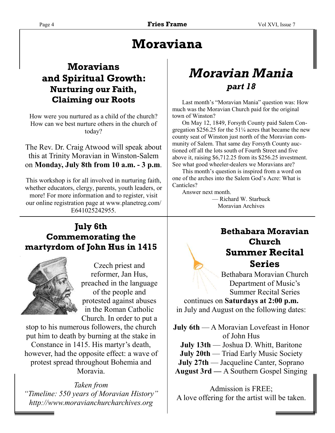### **Moraviana**

#### **Moravians and Spiritual Growth: Nurturing our Faith, Claiming our Roots**

How were you nurtured as a child of the church? How can we best nurture others in the church of today?

The Rev. Dr. Craig Atwood will speak about this at Trinity Moravian in Winston-Salem on **Monday, July 8th from 10 a.m. - 3 p.m**.

This workshop is for all involved in nurturing faith, whether educators, clergy, parents, youth leaders, or more! For more information and to register, visit our online registration page at www.planetreg.com/ E641025242955.

#### **July 6th Commemorating the martyrdom of John Hus in 1415**



Czech priest and reformer, Jan Hus, preached in the language of the people and protested against abuses in the Roman Catholic Church. In order to put a

stop to his numerous followers, the church put him to death by burning at the stake in Constance in 1415. His martyr's death, however, had the opposite effect: a wave of protest spread throughout Bohemia and Moravia.

*Taken from "Timeline: 550 years of Moravian History" http://www.moravianchurcharchives.org* 

### *Moravian Mania part 18*

 Last month's "Moravian Mania" question was: How much was the Moravian Church paid for the original town of Winston?

 On May 12, 1849, Forsyth County paid Salem Congregation \$256.25 for the 51¼ acres that became the new county seat of Winston just north of the Moravian community of Salem. That same day Forsyth County auctioned off all the lots south of Fourth Street and five above it, raising \$6,712.25 from its \$256.25 investment. See what good wheeler-dealers we Moravians are?

 This month's question is inspired from a word on one of the arches into the Salem God's Acre: What is Canticles?

Answer next month.

— Richard W. Starbuck Moravian Archives

#### **Bethabara Moravian Church Summer Recital Series**

Bethabara Moravian Church Department of Music's Summer Recital Series

continues on **Saturdays at 2:00 p.m.**  in July and August on the following dates:

**July 6th** — A Moravian Lovefeast in Honor of John Hus **July 13th** — Joshua D. Whitt, Baritone **July 20th** — Triad Early Music Society **July 27th** — Jacqueline Canter, Soprano **August 3rd —** A Southern Gospel Singing

Admission is FREE; A love offering for the artist will be taken.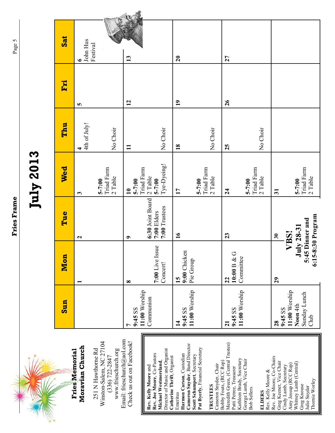| <b>Jesuranne</b> |
|------------------|
|                  |
|                  |
|                  |
| ì                |



| Moravian Church<br><b>Fries Memorial</b> |
|------------------------------------------|
|                                          |
|                                          |

Email: frieschurch@aol.com Email: frieschurch@aol.com Winston-Salem, NC 27104<br>(336) 722-2847 Winston-Salem, NC 27104 251 N Hawthorne Rd www.frieschurch.org 251 N Hawthorne Rd www.frieschurch.org (336) 722-2847

Check us out on Facebook!

Check us out on Facebook!

Cameron Snyder, Band Director **Cameron Snyder**, Band Director Pat Byerly, Financial Secretary **Pat Byerly**, Financial Secretary Director of Music and Organist Director of Music and Organist Rev. Joe Moore, Co-Pastors **Rev. Joe Moore**, Co-Pastors Emeritus<br>**Harmon Carson**, Custodian **Harmon Carson**, Custodian Scott Schumpert, Secretary **Scott Schumpert**, Secretary Catherine Thrift, Organist **Catherine Thrift**, Organist Michael Westmoreland, **Michael Westmoreland**, Rev. Kelly Moore and **Rev. Kelly Moore** and

Bobby Fouts, (RCC Rep)<br>Meredith Green, (Central Trustee) Meredith Green, (Central Trustee) Patti Petree, Treasurer<br>Kathleen Brady, Secretary<br>George Lamb, Vice Chair<br>Bob Sellers Kathleen Brady, Secretary George Lamb, Vice Chair Bobby Fouts, (RCC Rep) Cameron Snyder, Chair Cameron Snyder, Chair Patti Petree, Treasurer **TRUSTEES TRUSTEES** 

Bob Sellers **ELDERS**<br>Rev. Kelly Moore & Rev. Kelly Moore &

Rev. Joe Moore, Co-Chairs Rev. Joe Moore, Co-Chairs Greg Keener, Vice Chair<br>Cindy Lamb, Secretary Greg Keener, Vice Chair Whitney Lamb (Central) Whitney Lamb (Central) Amy Jessup (RCC Rep) Amy Jessup (RCC Rep) Cindy Lamb, Secretary Thornie Worley Thornie Worley Greg Knouse Greg Knouse Julie Snyder Julie Snyder

| Sun                                                          | <b>Mon</b>                      | Tue                                              | Wed                                                  | Thu               | Fri             | <b>Sat</b>                        |
|--------------------------------------------------------------|---------------------------------|--------------------------------------------------|------------------------------------------------------|-------------------|-----------------|-----------------------------------|
|                                                              | $\overline{\phantom{0}}$        | $\mathbf{z}$                                     | 3                                                    | 4th of July!<br>4 | <b>SC</b>       | John Hus<br>Festival<br>$\bullet$ |
|                                                              |                                 |                                                  | <b>Triad Farm</b><br>$2$ Table<br>$5 - 7:00$         | No Choir          |                 |                                   |
| 9:45 SS                                                      | $\infty$                        | $\bullet$                                        | $5 - 7:00$<br>$\overline{10}$                        | $\mathbf{I}$      | $\overline{12}$ | 13                                |
| 11:00 Worship<br>Communion                                   | 7:00 Live Issue<br>Concert!     | 6:30 Joint Board<br>7:00 Trustees<br>7:00 Elders | Tye-Dyeing!<br>Triad Farm<br>$2$ Table<br>$5 - 7:00$ | No Choir          |                 |                                   |
| 11:00 Worship<br>9:45 SS<br>$\overline{1}$                   | 9:00 Chicken<br>Pie Group<br>15 | 16                                               | $\mathbf{1}$                                         | $\overline{18}$   | $\overline{1}$  | $\overline{20}$                   |
|                                                              |                                 |                                                  | Triad Farm<br>$2$ Table<br>$5 - 7:00$                | No Choir          |                 |                                   |
| 9:45 SS<br>$\overline{21}$                                   | $10:00\,\mathrm{B}$ & G<br>22   | 23                                               | $\overline{24}$                                      | 25                | 26              | 27                                |
| 11:00 Worship                                                | Committee                       |                                                  | Triad Farm<br>$2$ Table<br>$5 - 7:00$                | No Choir          |                 |                                   |
| 28                                                           | 29                              | $\overline{\mathbf{30}}$                         | $\overline{\mathbf{5}}$                              |                   |                 |                                   |
| 11:00 Worship<br>Sunday Lunch<br>Noon 4th<br>9:45 SS<br>Club | $July 28-31$                    | 5:45 Dinner and<br>VBS!                          | Triad Farm<br>$2$ Table<br>$5 - 7:00$                |                   |                 |                                   |
|                                                              |                                 | 6:15-8:30 Program                                |                                                      |                   |                 |                                   |

Page 5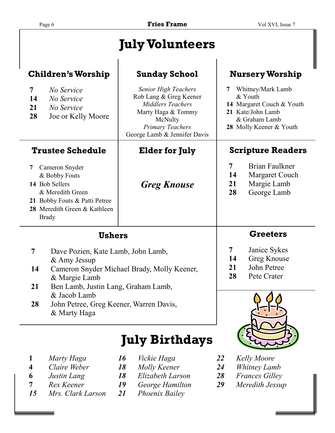| Page 6                                                                                                                                                                                                                                                                     |                                                                                                                      | <b>Fries Frame</b>                                                                                                                                                            | Vol XVI, Issue 7                                                                                                           |                                                                |  |
|----------------------------------------------------------------------------------------------------------------------------------------------------------------------------------------------------------------------------------------------------------------------------|----------------------------------------------------------------------------------------------------------------------|-------------------------------------------------------------------------------------------------------------------------------------------------------------------------------|----------------------------------------------------------------------------------------------------------------------------|----------------------------------------------------------------|--|
|                                                                                                                                                                                                                                                                            |                                                                                                                      | <b>July Volunteers</b>                                                                                                                                                        |                                                                                                                            |                                                                |  |
| <b>Children's Worship</b>                                                                                                                                                                                                                                                  |                                                                                                                      | <b>Sunday School</b>                                                                                                                                                          |                                                                                                                            | <b>Nursery Worship</b>                                         |  |
| $\overline{7}$<br>14<br>21<br>28                                                                                                                                                                                                                                           | No Service<br>No Service<br>No Service<br>Joe or Kelly Moore                                                         | <b>Senior High Teachers</b><br>Rob Lang & Greg Keener<br><b>Middlers Teachers</b><br>Marty Haga & Tommy<br>McNulty<br><b>Primary Teachers</b><br>George Lamb & Jennifer Davis | Whitney/Mark Lamb<br>& Youth<br>14 Margaret Couch & Youth<br>21 Kate/John Lamb<br>& Graham Lamb<br>28 Molly Keener & Youth |                                                                |  |
| <b>Trustee Schedule</b>                                                                                                                                                                                                                                                    |                                                                                                                      | <b>Elder for July</b>                                                                                                                                                         | <b>Scripture Readers</b>                                                                                                   |                                                                |  |
| 7<br>14 Bob Sellers<br><b>Brady</b>                                                                                                                                                                                                                                        | Cameron Snyder<br>& Bobby Fouts<br>& Meredith Green<br>21 Bobby Fouts & Patti Petree<br>28 Meredith Green & Kathleen | <b>Greg Knouse</b>                                                                                                                                                            | $\overline{7}$<br>14<br>21<br>28                                                                                           | Brian Faulkner<br>Margaret Couch<br>Margie Lamb<br>George Lamb |  |
| <b>Ushers</b>                                                                                                                                                                                                                                                              |                                                                                                                      |                                                                                                                                                                               | <b>Greeters</b>                                                                                                            |                                                                |  |
| $\overline{7}$<br>Dave Pozien, Kate Lamb, John Lamb,<br>$&$ Amy Jessup<br>Cameron Snyder Michael Brady, Molly Keener,<br>14<br>& Margie Lamb<br>21<br>Ben Lamb, Justin Lang, Graham Lamb,<br>& Jacob Lamb<br>28<br>John Petree, Greg Keener, Warren Davis,<br>& Marty Haga |                                                                                                                      | 7<br>14<br>21<br>28                                                                                                                                                           | Janice Sykes<br><b>Greg Knouse</b><br>John Petree<br>Pete Crater                                                           |                                                                |  |
|                                                                                                                                                                                                                                                                            |                                                                                                                      |                                                                                                                                                                               |                                                                                                                            |                                                                |  |

### **July Birthdays**

- **1** *Marty Haga 16 Vickie Haga 22 Kelly Moore*
- 
- **6** *Justin Lang* **18** *Elizabeth Larson* **28**<br>**7** *Rex Keener* **19** *George Hamilton* **29**
- 
- *15 Mrs. Clark Larson 21 Phoenix Bailey*
- 
- 
- 
- -
- 
- **4** *Claire Weber 18 Molly Keener 24 Whitney Lamb*
	-
	- **7** *Rex Keener 19 George Hamilton 29 Meredith Jessup*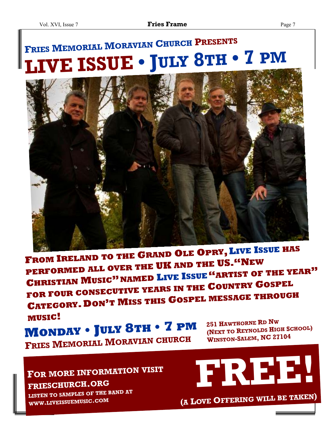# **<sup>F</sup>RIES <sup>M</sup>EMORIAL <sup>M</sup>ORAVIAN <sup>C</sup>HURCH <sup>P</sup>RESENTS LIVE ISSUE • JULY <sup>8</sup>TH • <sup>7</sup> PM**



**<sup>F</sup>ROM <sup>I</sup>RELAND TO THE <sup>G</sup>RAND <sup>O</sup>LE <sup>O</sup>PRY,LIVE <sup>I</sup>SSUE HAS PERFORMED ALL OVER THE UK AND THE US."NEW <sup>C</sup>HRISTIAN <sup>M</sup>USIC"NAMED <sup>L</sup>IVE <sup>I</sup>SSUE"ARTIST OF THE YEAR" FOR FOUR CONSECUTIVE YEARS IN THE <sup>C</sup>OUNTRY <sup>G</sup>OSPEL <sup>C</sup>ATEGORY.DON'<sup>T</sup> <sup>M</sup>ISS THIS <sup>G</sup>OSPEL MESSAGE THROUGH MUSIC!**

**<sup>M</sup>ONDAY • JULY <sup>8</sup>TH • <sup>7</sup> PM <sup>F</sup>RIES <sup>M</sup>EMORIAL <sup>M</sup>ORAVIAN CHURCH**

**<sup>251</sup> <sup>H</sup>AWTHORNE <sup>R</sup><sup>D</sup> <sup>N</sup><sup>W</sup> (NEXT TO <sup>R</sup>EYNOLDS <sup>H</sup>IGH <sup>S</sup>CHOOL) <sup>W</sup>INSTON-SALEM, NC <sup>27104</sup>**

### **<sup>F</sup>OR MORE INFORMATION VISIT FRIESCHURCH.ORG**

**LISTEN TO SAMPLES OF THE BAND AT WWW.LIVEISSUEMUSIC.COM**

$$
\begin{array}{c}\n \begin{array}{c}\n \text{A} \\
\text{C} \\
\text{A} \\
\text{D} \\
\text{A} \\
\end{array}\n \end{array}
$$